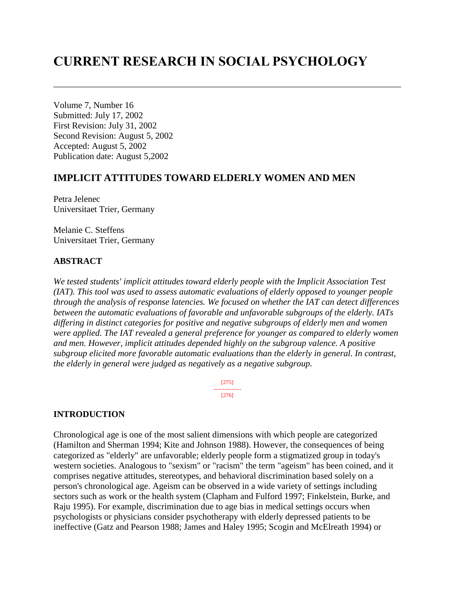# **CURRENT RESEARCH IN SOCIAL PSYCHOLOGY**

Volume 7, Number 16 Submitted: July 17, 2002 First Revision: July 31, 2002 Second Revision: August 5, 2002 Accepted: August 5, 2002 Publication date: August 5,2002

# **IMPLICIT ATTITUDES TOWARD ELDERLY WOMEN AND MEN**

Petra Jelenec Universitaet Trier, Germany

Melanie C. Steffens Universitaet Trier, Germany

#### **ABSTRACT**

*We tested students' implicit attitudes toward elderly people with the Implicit Association Test (IAT). This tool was used to assess automatic evaluations of elderly opposed to younger people through the analysis of response latencies. We focused on whether the IAT can detect differences between the automatic evaluations of favorable and unfavorable subgroups of the elderly. IATs differing in distinct categories for positive and negative subgroups of elderly men and women were applied. The IAT revealed a general preference for younger as compared to elderly women and men. However, implicit attitudes depended highly on the subgroup valence. A positive subgroup elicited more favorable automatic evaluations than the elderly in general. In contrast, the elderly in general were judged as negatively as a negative subgroup.* 

> [275] --------------- [276]

#### **INTRODUCTION**

Chronological age is one of the most salient dimensions with which people are categorized (Hamilton and Sherman 1994; Kite and Johnson 1988). However, the consequences of being categorized as "elderly" are unfavorable; elderly people form a stigmatized group in today's western societies. Analogous to "sexism" or "racism" the term "ageism" has been coined, and it comprises negative attitudes, stereotypes, and behavioral discrimination based solely on a person's chronological age. Ageism can be observed in a wide variety of settings including sectors such as work or the health system (Clapham and Fulford 1997; Finkelstein, Burke, and Raju 1995). For example, discrimination due to age bias in medical settings occurs when psychologists or physicians consider psychotherapy with elderly depressed patients to be ineffective (Gatz and Pearson 1988; James and Haley 1995; Scogin and McElreath 1994) or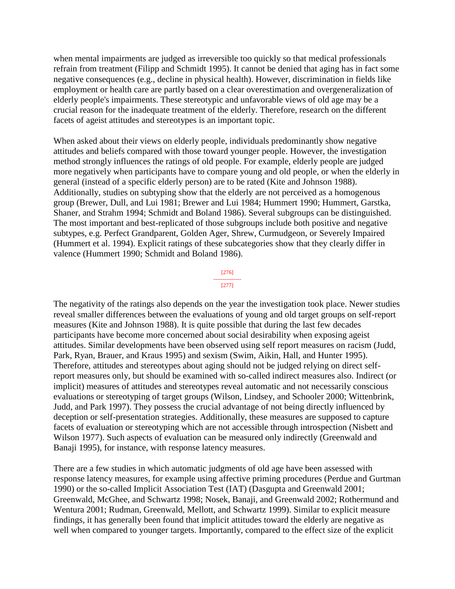when mental impairments are judged as irreversible too quickly so that medical professionals refrain from treatment (Filipp and Schmidt 1995). It cannot be denied that aging has in fact some negative consequences (e.g., decline in physical health). However, discrimination in fields like employment or health care are partly based on a clear overestimation and overgeneralization of elderly people's impairments. These stereotypic and unfavorable views of old age may be a crucial reason for the inadequate treatment of the elderly. Therefore, research on the different facets of ageist attitudes and stereotypes is an important topic.

When asked about their views on elderly people, individuals predominantly show negative attitudes and beliefs compared with those toward younger people. However, the investigation method strongly influences the ratings of old people. For example, elderly people are judged more negatively when participants have to compare young and old people, or when the elderly in general (instead of a specific elderly person) are to be rated (Kite and Johnson 1988). Additionally, studies on subtyping show that the elderly are not perceived as a homogenous group (Brewer, Dull, and Lui 1981; Brewer and Lui 1984; Hummert 1990; Hummert, Garstka, Shaner, and Strahm 1994; Schmidt and Boland 1986). Several subgroups can be distinguished. The most important and best-replicated of those subgroups include both positive and negative subtypes, e.g. Perfect Grandparent, Golden Ager, Shrew, Curmudgeon, or Severely Impaired (Hummert et al. 1994). Explicit ratings of these subcategories show that they clearly differ in valence (Hummert 1990; Schmidt and Boland 1986).



The negativity of the ratings also depends on the year the investigation took place. Newer studies reveal smaller differences between the evaluations of young and old target groups on self-report measures (Kite and Johnson 1988). It is quite possible that during the last few decades participants have become more concerned about social desirability when exposing ageist attitudes. Similar developments have been observed using self report measures on racism (Judd, Park, Ryan, Brauer, and Kraus 1995) and sexism (Swim, Aikin, Hall, and Hunter 1995). Therefore, attitudes and stereotypes about aging should not be judged relying on direct selfreport measures only, but should be examined with so-called indirect measures also. Indirect (or implicit) measures of attitudes and stereotypes reveal automatic and not necessarily conscious evaluations or stereotyping of target groups (Wilson, Lindsey, and Schooler 2000; Wittenbrink, Judd, and Park 1997). They possess the crucial advantage of not being directly influenced by deception or self-presentation strategies. Additionally, these measures are supposed to capture facets of evaluation or stereotyping which are not accessible through introspection (Nisbett and Wilson 1977). Such aspects of evaluation can be measured only indirectly (Greenwald and Banaji 1995), for instance, with response latency measures.

There are a few studies in which automatic judgments of old age have been assessed with response latency measures, for example using affective priming procedures (Perdue and Gurtman 1990) or the so-called Implicit Association Test (IAT) (Dasgupta and Greenwald 2001; Greenwald, McGhee, and Schwartz 1998; Nosek, Banaji, and Greenwald 2002; Rothermund and Wentura 2001; Rudman, Greenwald, Mellott, and Schwartz 1999). Similar to explicit measure findings, it has generally been found that implicit attitudes toward the elderly are negative as well when compared to younger targets. Importantly, compared to the effect size of the explicit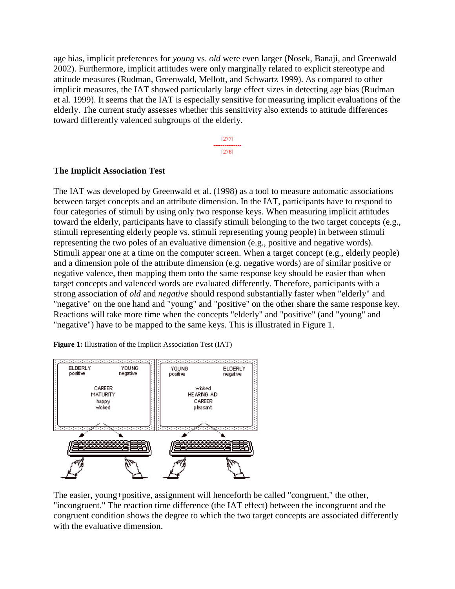age bias, implicit preferences for *young* vs. *old* were even larger (Nosek, Banaji, and Greenwald 2002). Furthermore, implicit attitudes were only marginally related to explicit stereotype and attitude measures (Rudman, Greenwald, Mellott, and Schwartz 1999). As compared to other implicit measures, the IAT showed particularly large effect sizes in detecting age bias (Rudman et al. 1999). It seems that the IAT is especially sensitive for measuring implicit evaluations of the elderly. The current study assesses whether this sensitivity also extends to attitude differences toward differently valenced subgroups of the elderly.

> [277] --------------- [278]

#### **The Implicit Association Test**

The IAT was developed by Greenwald et al. (1998) as a tool to measure automatic associations between target concepts and an attribute dimension. In the IAT, participants have to respond to four categories of stimuli by using only two response keys. When measuring implicit attitudes toward the elderly, participants have to classify stimuli belonging to the two target concepts (e.g., stimuli representing elderly people vs. stimuli representing young people) in between stimuli representing the two poles of an evaluative dimension (e.g., positive and negative words). Stimuli appear one at a time on the computer screen. When a target concept (e.g., elderly people) and a dimension pole of the attribute dimension (e.g. negative words) are of similar positive or negative valence, then mapping them onto the same response key should be easier than when target concepts and valenced words are evaluated differently. Therefore, participants with a strong association of *old* and *negative* should respond substantially faster when "elderly" and "negative" on the one hand and "young" and "positive" on the other share the same response key. Reactions will take more time when the concepts "elderly" and "positive" (and "young" and "negative") have to be mapped to the same keys. This is illustrated in Figure 1.

**Figure 1:** Illustration of the Implicit Association Test (IAT)



The easier, young+positive, assignment will henceforth be called "congruent," the other, "incongruent." The reaction time difference (the IAT effect) between the incongruent and the congruent condition shows the degree to which the two target concepts are associated differently with the evaluative dimension.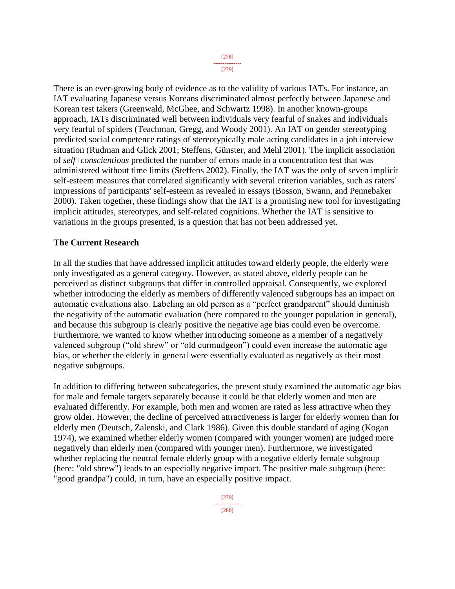[278] --------------- [279]

There is an ever-growing body of evidence as to the validity of various IATs. For instance, an IAT evaluating Japanese versus Koreans discriminated almost perfectly between Japanese and Korean test takers (Greenwald, McGhee, and Schwartz 1998). In another known-groups approach, IATs discriminated well between individuals very fearful of snakes and individuals very fearful of spiders (Teachman, Gregg, and Woody 2001). An IAT on gender stereotyping predicted social competence ratings of stereotypically male acting candidates in a job interview situation (Rudman and Glick 2001; Steffens, Günster, and Mehl 2001). The implicit association of *self*+*conscientious* predicted the number of errors made in a concentration test that was administered without time limits (Steffens 2002). Finally, the IAT was the only of seven implicit self-esteem measures that correlated significantly with several criterion variables, such as raters' impressions of participants' self-esteem as revealed in essays (Bosson, Swann, and Pennebaker 2000). Taken together, these findings show that the IAT is a promising new tool for investigating implicit attitudes, stereotypes, and self-related cognitions. Whether the IAT is sensitive to variations in the groups presented, is a question that has not been addressed yet.

## **The Current Research**

In all the studies that have addressed implicit attitudes toward elderly people, the elderly were only investigated as a general category. However, as stated above, elderly people can be perceived as distinct subgroups that differ in controlled appraisal. Consequently, we explored whether introducing the elderly as members of differently valenced subgroups has an impact on automatic evaluations also. Labeling an old person as a "perfect grandparent" should diminish the negativity of the automatic evaluation (here compared to the younger population in general), and because this subgroup is clearly positive the negative age bias could even be overcome. Furthermore, we wanted to know whether introducing someone as a member of a negatively valenced subgroup ("old shrew" or "old curmudgeon") could even increase the automatic age bias, or whether the elderly in general were essentially evaluated as negatively as their most negative subgroups.

In addition to differing between subcategories, the present study examined the automatic age bias for male and female targets separately because it could be that elderly women and men are evaluated differently. For example, both men and women are rated as less attractive when they grow older. However, the decline of perceived attractiveness is larger for elderly women than for elderly men (Deutsch, Zalenski, and Clark 1986). Given this double standard of aging (Kogan 1974), we examined whether elderly women (compared with younger women) are judged more negatively than elderly men (compared with younger men). Furthermore, we investigated whether replacing the neutral female elderly group with a negative elderly female subgroup (here: "old shrew") leads to an especially negative impact. The positive male subgroup (here: "good grandpa") could, in turn, have an especially positive impact.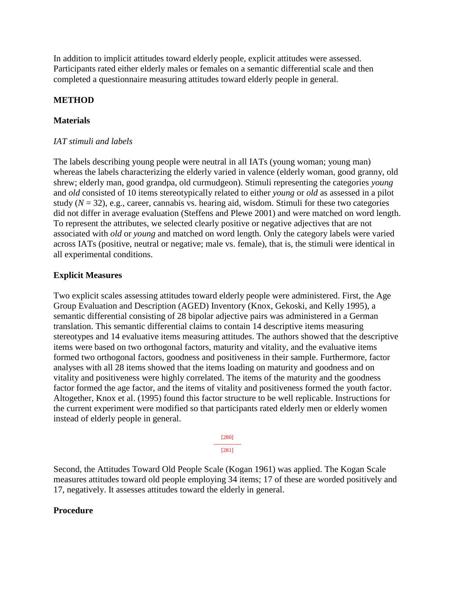In addition to implicit attitudes toward elderly people, explicit attitudes were assessed. Participants rated either elderly males or females on a semantic differential scale and then completed a questionnaire measuring attitudes toward elderly people in general.

## **METHOD**

## **Materials**

## *IAT stimuli and labels*

The labels describing young people were neutral in all IATs (young woman; young man) whereas the labels characterizing the elderly varied in valence (elderly woman, good granny, old shrew; elderly man, good grandpa, old curmudgeon). Stimuli representing the categories *young* and *old* consisted of 10 items stereotypically related to either *young* or *old* as assessed in a pilot study  $(N = 32)$ , e.g., career, cannabis vs. hearing aid, wisdom. Stimuli for these two categories did not differ in average evaluation (Steffens and Plewe 2001) and were matched on word length. To represent the attributes, we selected clearly positive or negative adjectives that are not associated with *old* or *young* and matched on word length. Only the category labels were varied across IATs (positive, neutral or negative; male vs. female), that is, the stimuli were identical in all experimental conditions.

## **Explicit Measures**

Two explicit scales assessing attitudes toward elderly people were administered. First, the Age Group Evaluation and Description (AGED) Inventory (Knox, Gekoski, and Kelly 1995), a semantic differential consisting of 28 bipolar adjective pairs was administered in a German translation. This semantic differential claims to contain 14 descriptive items measuring stereotypes and 14 evaluative items measuring attitudes. The authors showed that the descriptive items were based on two orthogonal factors, maturity and vitality, and the evaluative items formed two orthogonal factors, goodness and positiveness in their sample. Furthermore, factor analyses with all 28 items showed that the items loading on maturity and goodness and on vitality and positiveness were highly correlated. The items of the maturity and the goodness factor formed the age factor, and the items of vitality and positiveness formed the youth factor. Altogether, Knox et al. (1995) found this factor structure to be well replicable. Instructions for the current experiment were modified so that participants rated elderly men or elderly women instead of elderly people in general.

> [280] --------------- [281]

Second, the Attitudes Toward Old People Scale (Kogan 1961) was applied. The Kogan Scale measures attitudes toward old people employing 34 items; 17 of these are worded positively and 17, negatively. It assesses attitudes toward the elderly in general.

## **Procedure**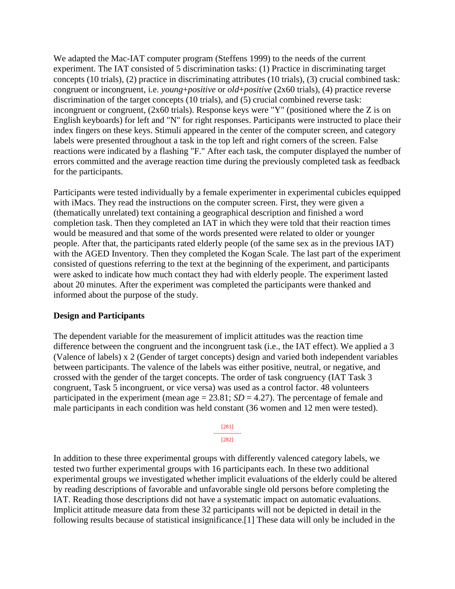We adapted the Mac-IAT computer program (Steffens 1999) to the needs of the current experiment. The IAT consisted of 5 discrimination tasks: (1) Practice in discriminating target concepts (10 trials), (2) practice in discriminating attributes (10 trials), (3) crucial combined task: congruent or incongruent, i.e. *young*+*positive* or *old*+*positive* (2x60 trials), (4) practice reverse discrimination of the target concepts (10 trials), and (5) crucial combined reverse task: incongruent or congruent,  $(2x60 \text{ trials})$ . Response keys were "Y" (positioned where the Z is on English keyboards) for left and "N" for right responses. Participants were instructed to place their index fingers on these keys. Stimuli appeared in the center of the computer screen, and category labels were presented throughout a task in the top left and right corners of the screen. False reactions were indicated by a flashing "F." After each task, the computer displayed the number of errors committed and the average reaction time during the previously completed task as feedback for the participants.

Participants were tested individually by a female experimenter in experimental cubicles equipped with iMacs. They read the instructions on the computer screen. First, they were given a (thematically unrelated) text containing a geographical description and finished a word completion task. Then they completed an IAT in which they were told that their reaction times would be measured and that some of the words presented were related to older or younger people. After that, the participants rated elderly people (of the same sex as in the previous IAT) with the AGED Inventory. Then they completed the Kogan Scale. The last part of the experiment consisted of questions referring to the text at the beginning of the experiment, and participants were asked to indicate how much contact they had with elderly people. The experiment lasted about 20 minutes. After the experiment was completed the participants were thanked and informed about the purpose of the study.

## **Design and Participants**

The dependent variable for the measurement of implicit attitudes was the reaction time difference between the congruent and the incongruent task (i.e., the IAT effect). We applied a 3 (Valence of labels) x 2 (Gender of target concepts) design and varied both independent variables between participants. The valence of the labels was either positive, neutral, or negative, and crossed with the gender of the target concepts. The order of task congruency (IAT Task 3 congruent, Task 5 incongruent, or vice versa) was used as a control factor. 48 volunteers participated in the experiment (mean age  $= 23.81$ ; *SD*  $= 4.27$ ). The percentage of female and male participants in each condition was held constant (36 women and 12 men were tested).

> [281] --------------- [282]

In addition to these three experimental groups with differently valenced category labels, we tested two further experimental groups with 16 participants each. In these two additional experimental groups we investigated whether implicit evaluations of the elderly could be altered by reading descriptions of favorable and unfavorable single old persons before completing the IAT. Reading those descriptions did not have a systematic impact on automatic evaluations. Implicit attitude measure data from these 32 participants will not be depicted in detail in the following results because of statistical insignificance.[1] These data will only be included in the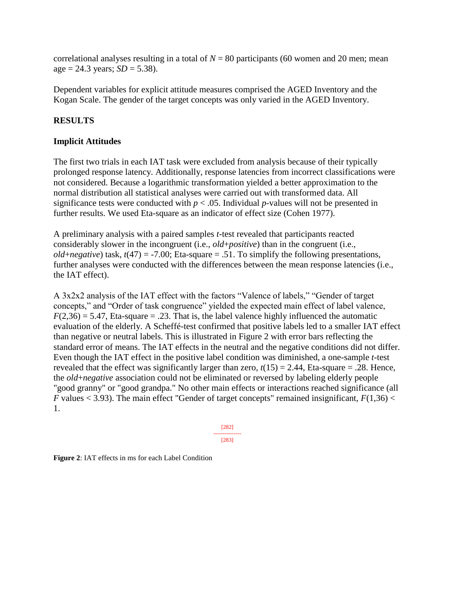correlational analyses resulting in a total of  $N = 80$  participants (60 women and 20 men; mean  $age = 24.3 \text{ years}; SD = 5.38.$ 

Dependent variables for explicit attitude measures comprised the AGED Inventory and the Kogan Scale. The gender of the target concepts was only varied in the AGED Inventory.

# **RESULTS**

## **Implicit Attitudes**

The first two trials in each IAT task were excluded from analysis because of their typically prolonged response latency. Additionally, response latencies from incorrect classifications were not considered. Because a logarithmic transformation yielded a better approximation to the normal distribution all statistical analyses were carried out with transformed data. All significance tests were conducted with  $p < .05$ . Individual *p*-values will not be presented in further results. We used Eta-square as an indicator of effect size (Cohen 1977).

A preliminary analysis with a paired samples *t*-test revealed that participants reacted considerably slower in the incongruent (i.e., *old*+*positive*) than in the congruent (i.e., *old*+*negative*) task,  $t(47) = -7.00$ ; Eta-square = .51. To simplify the following presentations, further analyses were conducted with the differences between the mean response latencies (i.e., the IAT effect).

A 3x2x2 analysis of the IAT effect with the factors "Valence of labels," "Gender of target concepts," and "Order of task congruence" yielded the expected main effect of label valence,  $F(2,36) = 5.47$ , Eta-square = .23. That is, the label valence highly influenced the automatic evaluation of the elderly. A Scheffé-test confirmed that positive labels led to a smaller IAT effect than negative or neutral labels. This is illustrated in Figure 2 with error bars reflecting the standard error of means. The IAT effects in the neutral and the negative conditions did not differ. Even though the IAT effect in the positive label condition was diminished, a one-sample *t*-test revealed that the effect was significantly larger than zero,  $t(15) = 2.44$ , Eta-square = .28. Hence, the *old*+*negative* association could not be eliminated or reversed by labeling elderly people "good granny" or "good grandpa." No other main effects or interactions reached significance (all *F* values  $\lt$  3.93). The main effect "Gender of target concepts" remained insignificant,  $F(1,36)$   $\lt$ 1.

> [282] --------------- [283]

**Figure 2**: IAT effects in ms for each Label Condition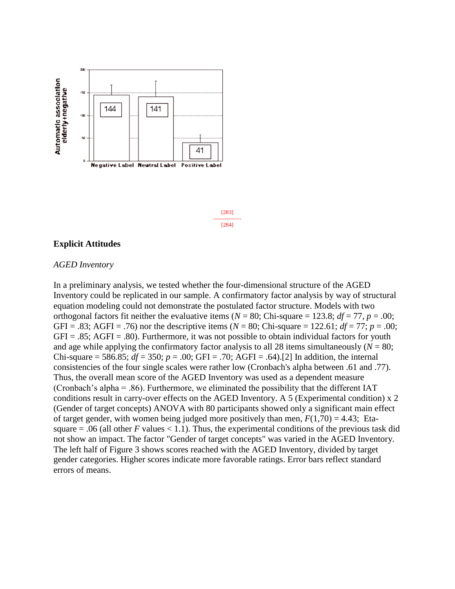

[283] --------------- [284]

#### **Explicit Attitudes**

#### *AGED Inventory*

In a preliminary analysis, we tested whether the four-dimensional structure of the AGED Inventory could be replicated in our sample. A confirmatory factor analysis by way of structural equation modeling could not demonstrate the postulated factor structure. Models with two orthogonal factors fit neither the evaluative items ( $N = 80$ ; Chi-square = 123.8;  $df = 77$ ,  $p = .00$ ; GFI = .83; AGFI = .76) nor the descriptive items ( $N = 80$ ; Chi-square = 122.61;  $df = 77$ ;  $p = .00$ ;  $GFI = .85$ ;  $AGFI = .80$ ). Furthermore, it was not possible to obtain individual factors for youth and age while applying the confirmatory factor analysis to all 28 items simultaneously  $(N = 80;$ Chi-square = 586.85;  $df = 350$ ;  $p = .00$ ; GFI = .70; AGFI = .64).<sup>[2]</sup> In addition, the internal consistencies of the four single scales were rather low (Cronbach's alpha between .61 and .77). Thus, the overall mean score of the AGED Inventory was used as a dependent measure (Cronbach's alpha = .86). Furthermore, we eliminated the possibility that the different IAT conditions result in carry-over effects on the AGED Inventory. A 5 (Experimental condition) x 2 (Gender of target concepts) ANOVA with 80 participants showed only a significant main effect of target gender, with women being judged more positively than men,  $F(1,70) = 4.43$ ; Etasquare  $= .06$  (all other *F* values  $< 1.1$ ). Thus, the experimental conditions of the previous task did not show an impact. The factor "Gender of target concepts" was varied in the AGED Inventory. The left half of Figure 3 shows scores reached with the AGED Inventory, divided by target gender categories. Higher scores indicate more favorable ratings. Error bars reflect standard errors of means.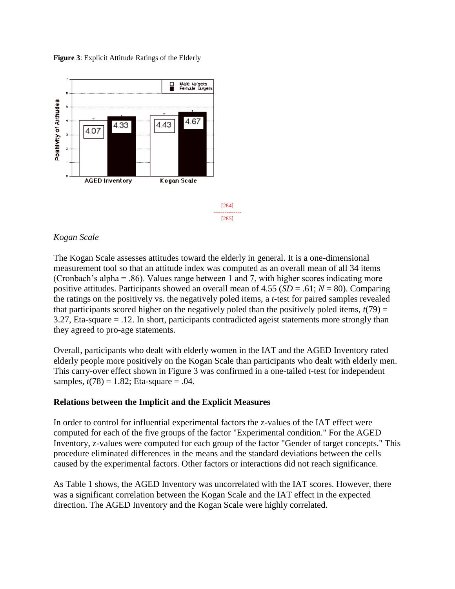**Figure 3**: Explicit Attitude Ratings of the Elderly



## *Kogan Scale*

The Kogan Scale assesses attitudes toward the elderly in general. It is a one-dimensional measurement tool so that an attitude index was computed as an overall mean of all 34 items (Cronbach's alpha = .86). Values range between 1 and 7, with higher scores indicating more positive attitudes. Participants showed an overall mean of 4.55 (*SD* = .61; *N* = 80). Comparing the ratings on the positively vs. the negatively poled items, a *t*-test for paired samples revealed that participants scored higher on the negatively poled than the positively poled items,  $t(79) =$ 3.27, Eta-square = .12. In short, participants contradicted ageist statements more strongly than they agreed to pro-age statements.

Overall, participants who dealt with elderly women in the IAT and the AGED Inventory rated elderly people more positively on the Kogan Scale than participants who dealt with elderly men. This carry-over effect shown in Figure 3 was confirmed in a one-tailed *t*-test for independent samples,  $t(78) = 1.82$ ; Eta-square = .04.

## **Relations between the Implicit and the Explicit Measures**

In order to control for influential experimental factors the z-values of the IAT effect were computed for each of the five groups of the factor "Experimental condition." For the AGED Inventory, z-values were computed for each group of the factor "Gender of target concepts." This procedure eliminated differences in the means and the standard deviations between the cells caused by the experimental factors. Other factors or interactions did not reach significance.

As Table 1 shows, the AGED Inventory was uncorrelated with the IAT scores. However, there was a significant correlation between the Kogan Scale and the IAT effect in the expected direction. The AGED Inventory and the Kogan Scale were highly correlated.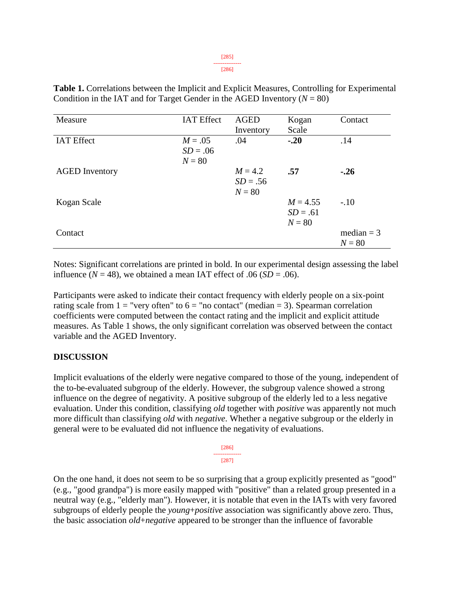| Measure               | <b>IAT Effect</b> | <b>AGED</b> | Kogan      | Contact |
|-----------------------|-------------------|-------------|------------|---------|
|                       |                   | Inventory   | Scale      |         |
| <b>IAT Effect</b>     | $M = .05$         | .04         | $-.20$     | .14     |
|                       | $SD = .06$        |             |            |         |
|                       | $N = 80$          |             |            |         |
| <b>AGED</b> Inventory |                   | $M = 4.2$   | .57        | $-.26$  |
|                       |                   | $SD = .56$  |            |         |
|                       |                   | $N = 80$    |            |         |
| Kogan Scale           |                   |             | $M = 4.55$ | $-.10$  |

**Table 1.** Correlations between the Implicit and Explicit Measures, Controlling for Experimental Condition in the IAT and for Target Gender in the AGED Inventory  $(N = 80)$ 

Notes: Significant correlations are printed in bold. In our experimental design assessing the label influence  $(N = 48)$ , we obtained a mean IAT effect of .06 (*SD* = .06).

 $\text{Constant} = 3$ 

 $SD = .61$  $N = 80$ 

 $N = 80$ 

Participants were asked to indicate their contact frequency with elderly people on a six-point rating scale from  $1 =$  "very often" to  $6 =$  "no contact" (median = 3). Spearman correlation coefficients were computed between the contact rating and the implicit and explicit attitude measures. As Table 1 shows, the only significant correlation was observed between the contact variable and the AGED Inventory.

# **DISCUSSION**

Implicit evaluations of the elderly were negative compared to those of the young, independent of the to-be-evaluated subgroup of the elderly. However, the subgroup valence showed a strong influence on the degree of negativity. A positive subgroup of the elderly led to a less negative evaluation. Under this condition, classifying *old* together with *positive* was apparently not much more difficult than classifying *old* with *negative*. Whether a negative subgroup or the elderly in general were to be evaluated did not influence the negativity of evaluations.

On the one hand, it does not seem to be so surprising that a group explicitly presented as "good" (e.g., "good grandpa") is more easily mapped with "positive" than a related group presented in a neutral way (e.g., "elderly man"). However, it is notable that even in the IATs with very favored subgroups of elderly people the *young*+*positive* association was significantly above zero. Thus, the basic association *old*+*negative* appeared to be stronger than the influence of favorable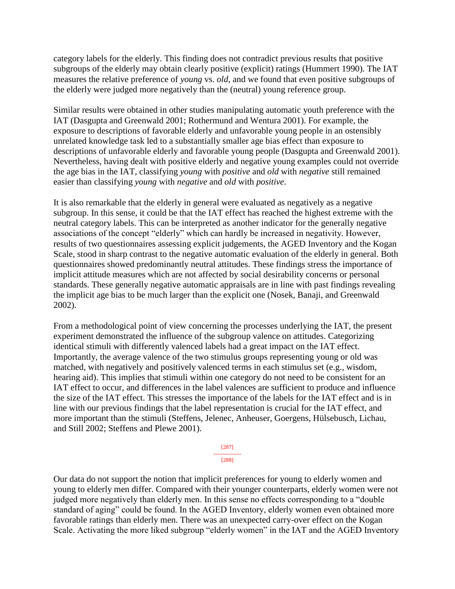category labels for the elderly. This finding does not contradict previous results that positive subgroups of the elderly may obtain clearly positive (explicit) ratings (Hummert 1990). The IAT measures the relative preference of *young* vs. *old*, and we found that even positive subgroups of the elderly were judged more negatively than the (neutral) young reference group.

Similar results were obtained in other studies manipulating automatic youth preference with the IAT (Dasgupta and Greenwald 2001; Rothermund and Wentura 2001). For example, the exposure to descriptions of favorable elderly and unfavorable young people in an ostensibly unrelated knowledge task led to a substantially smaller age bias effect than exposure to descriptions of unfavorable elderly and favorable young people (Dasgupta and Greenwald 2001). Nevertheless, having dealt with positive elderly and negative young examples could not override the age bias in the IAT, classifying *young* with *positive* and *old* with *negative* still remained easier than classifying *young* with *negative* and *old* with *positive*.

It is also remarkable that the elderly in general were evaluated as negatively as a negative subgroup. In this sense, it could be that the IAT effect has reached the highest extreme with the neutral category labels. This can be interpreted as another indicator for the generally negative associations of the concept "elderly" which can hardly be increased in negativity. However, results of two questionnaires assessing explicit judgements, the AGED Inventory and the Kogan Scale, stood in sharp contrast to the negative automatic evaluation of the elderly in general. Both questionnaires showed predominantly neutral attitudes. These findings stress the importance of implicit attitude measures which are not affected by social desirability concerns or personal standards. These generally negative automatic appraisals are in line with past findings revealing the implicit age bias to be much larger than the explicit one (Nosek, Banaji, and Greenwald 2002).

From a methodological point of view concerning the processes underlying the IAT, the present experiment demonstrated the influence of the subgroup valence on attitudes. Categorizing identical stimuli with differently valenced labels had a great impact on the IAT effect. Importantly, the average valence of the two stimulus groups representing young or old was matched, with negatively and positively valenced terms in each stimulus set (e.g., wisdom, hearing aid). This implies that stimuli within one category do not need to be consistent for an IAT effect to occur, and differences in the label valences are sufficient to produce and influence the size of the IAT effect. This stresses the importance of the labels for the IAT effect and is in line with our previous findings that the label representation is crucial for the IAT effect, and more important than the stimuli (Steffens, Jelenec, Anheuser, Goergens, Hülsebusch, Lichau, and Still 2002; Steffens and Plewe 2001).

> [287] --------------- [288]

Our data do not support the notion that implicit preferences for young to elderly women and young to elderly men differ. Compared with their younger counterparts, elderly women were not judged more negatively than elderly men. In this sense no effects corresponding to a "double standard of aging" could be found. In the AGED Inventory, elderly women even obtained more favorable ratings than elderly men. There was an unexpected carry-over effect on the Kogan Scale. Activating the more liked subgroup "elderly women" in the IAT and the AGED Inventory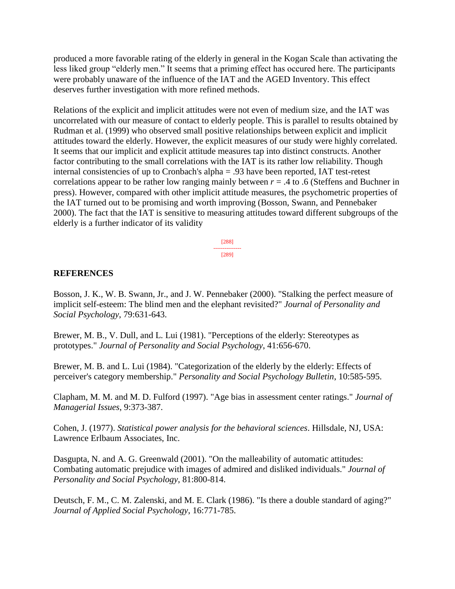produced a more favorable rating of the elderly in general in the Kogan Scale than activating the less liked group "elderly men." It seems that a priming effect has occured here. The participants were probably unaware of the influence of the IAT and the AGED Inventory. This effect deserves further investigation with more refined methods.

Relations of the explicit and implicit attitudes were not even of medium size, and the IAT was uncorrelated with our measure of contact to elderly people. This is parallel to results obtained by Rudman et al. (1999) who observed small positive relationships between explicit and implicit attitudes toward the elderly. However, the explicit measures of our study were highly correlated. It seems that our implicit and explicit attitude measures tap into distinct constructs. Another factor contributing to the small correlations with the IAT is its rather low reliability. Though internal consistencies of up to Cronbach's alpha = .93 have been reported, IAT test-retest correlations appear to be rather low ranging mainly between  $r = .4$  to  $.6$  (Steffens and Buchner in press). However, compared with other implicit attitude measures, the psychometric properties of the IAT turned out to be promising and worth improving (Bosson, Swann, and Pennebaker 2000). The fact that the IAT is sensitive to measuring attitudes toward different subgroups of the elderly is a further indicator of its validity

> [288] --------------- [289]

## **REFERENCES**

Bosson, J. K., W. B. Swann, Jr., and J. W. Pennebaker (2000). "Stalking the perfect measure of implicit self-esteem: The blind men and the elephant revisited?" *Journal of Personality and Social Psychology*, 79:631-643.

Brewer, M. B., V. Dull, and L. Lui (1981). "Perceptions of the elderly: Stereotypes as prototypes." *Journal of Personality and Social Psychology*, 41:656-670.

Brewer, M. B. and L. Lui (1984). "Categorization of the elderly by the elderly: Effects of perceiver's category membership." *Personality and Social Psychology Bulletin*, 10:585-595.

Clapham, M. M. and M. D. Fulford (1997). "Age bias in assessment center ratings." *Journal of Managerial Issues*, 9:373-387.

Cohen, J. (1977). *Statistical power analysis for the behavioral sciences*. Hillsdale, NJ, USA: Lawrence Erlbaum Associates, Inc.

Dasgupta, N. and A. G. Greenwald (2001). "On the malleability of automatic attitudes: Combating automatic prejudice with images of admired and disliked individuals." *Journal of Personality and Social Psychology*, 81:800-814.

Deutsch, F. M., C. M. Zalenski, and M. E. Clark (1986). "Is there a double standard of aging?" *Journal of Applied Social Psychology*, 16:771-785.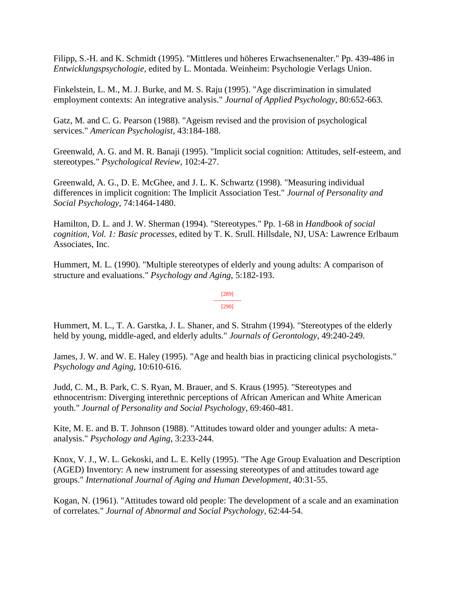Filipp, S.-H. and K. Schmidt (1995). "Mittleres und höheres Erwachsenenalter." Pp. 439-486 in *Entwicklungspsychologie*, edited by L. Montada. Weinheim: Psychologie Verlags Union.

Finkelstein, L. M., M. J. Burke, and M. S. Raju (1995). "Age discrimination in simulated employment contexts: An integrative analysis." *Journal of Applied Psychology*, 80:652-663.

Gatz, M. and C. G. Pearson (1988). "Ageism revised and the provision of psychological services." *American Psychologist*, 43:184-188.

Greenwald, A. G. and M. R. Banaji (1995). "Implicit social cognition: Attitudes, self-esteem, and stereotypes." *Psychological Review*, 102:4-27.

Greenwald, A. G., D. E. McGhee, and J. L. K. Schwartz (1998). "Measuring individual differences in implicit cognition: The Implicit Association Test." *Journal of Personality and Social Psychology*, 74:1464-1480.

Hamilton, D. L. and J. W. Sherman (1994). "Stereotypes." Pp. 1-68 in *Handbook of social cognition, Vol. 1: Basic processes*, edited by T. K. Srull. Hillsdale, NJ, USA: Lawrence Erlbaum Associates, Inc.

Hummert, M. L. (1990). "Multiple stereotypes of elderly and young adults: A comparison of structure and evaluations." *Psychology and Aging*, 5:182-193.

> [289] --------------- [290]

Hummert, M. L., T. A. Garstka, J. L. Shaner, and S. Strahm (1994). "Stereotypes of the elderly held by young, middle-aged, and elderly adults." *Journals of Gerontology*, 49:240-249.

James, J. W. and W. E. Haley (1995). "Age and health bias in practicing clinical psychologists." *Psychology and Aging*, 10:610-616.

Judd, C. M., B. Park, C. S. Ryan, M. Brauer, and S. Kraus (1995). "Stereotypes and ethnocentrism: Diverging interethnic perceptions of African American and White American youth." *Journal of Personality and Social Psychology*, 69:460-481.

Kite, M. E. and B. T. Johnson (1988). "Attitudes toward older and younger adults: A metaanalysis." *Psychology and Aging*, 3:233-244.

Knox, V. J., W. L. Gekoski, and L. E. Kelly (1995). "The Age Group Evaluation and Description (AGED) Inventory: A new instrument for assessing stereotypes of and attitudes toward age groups." *International Journal of Aging and Human Development*, 40:31-55.

Kogan, N. (1961). "Attitudes toward old people: The development of a scale and an examination of correlates." *Journal of Abnormal and Social Psychology*, 62:44-54.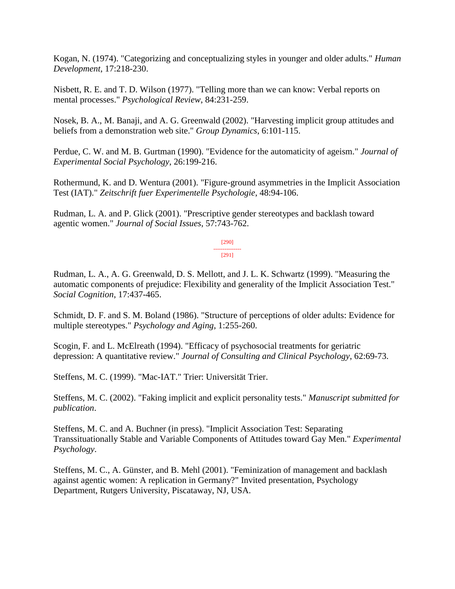Kogan, N. (1974). "Categorizing and conceptualizing styles in younger and older adults." *Human Development*, 17:218-230.

Nisbett, R. E. and T. D. Wilson (1977). "Telling more than we can know: Verbal reports on mental processes." *Psychological Review*, 84:231-259.

Nosek, B. A., M. Banaji, and A. G. Greenwald (2002). "Harvesting implicit group attitudes and beliefs from a demonstration web site." *Group Dynamics*, 6:101-115.

Perdue, C. W. and M. B. Gurtman (1990). "Evidence for the automaticity of ageism." *Journal of Experimental Social Psychology*, 26:199-216.

Rothermund, K. and D. Wentura (2001). "Figure-ground asymmetries in the Implicit Association Test (IAT)." *Zeitschrift fuer Experimentelle Psychologie*, 48:94-106.

Rudman, L. A. and P. Glick (2001). "Prescriptive gender stereotypes and backlash toward agentic women." *Journal of Social Issues*, 57:743-762.

> [290] --------------- [291]

Rudman, L. A., A. G. Greenwald, D. S. Mellott, and J. L. K. Schwartz (1999). "Measuring the automatic components of prejudice: Flexibility and generality of the Implicit Association Test." *Social Cognition*, 17:437-465.

Schmidt, D. F. and S. M. Boland (1986). "Structure of perceptions of older adults: Evidence for multiple stereotypes." *Psychology and Aging*, 1:255-260.

Scogin, F. and L. McElreath (1994). "Efficacy of psychosocial treatments for geriatric depression: A quantitative review." *Journal of Consulting and Clinical Psychology*, 62:69-73.

Steffens, M. C. (1999). "Mac-IAT." Trier: Universität Trier.

Steffens, M. C. (2002). "Faking implicit and explicit personality tests." *Manuscript submitted for publication*.

Steffens, M. C. and A. Buchner (in press). "Implicit Association Test: Separating Transsituationally Stable and Variable Components of Attitudes toward Gay Men." *Experimental Psychology*.

Steffens, M. C., A. Günster, and B. Mehl (2001). "Feminization of management and backlash against agentic women: A replication in Germany?" Invited presentation, Psychology Department, Rutgers University, Piscataway, NJ, USA.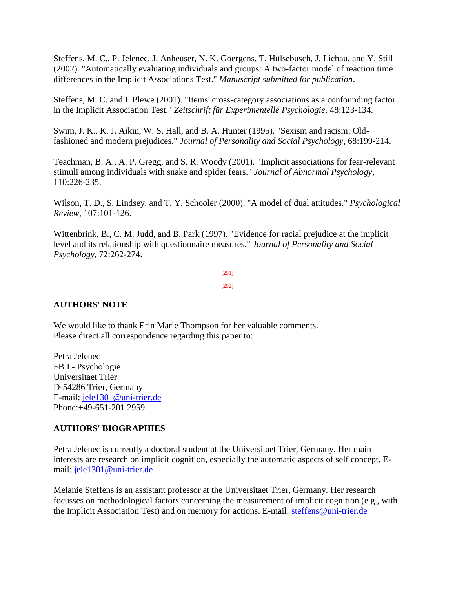Steffens, M. C., P. Jelenec, J. Anheuser, N. K. Goergens, T. Hülsebusch, J. Lichau, and Y. Still (2002). "Automatically evaluating individuals and groups: A two-factor model of reaction time differences in the Implicit Associations Test." *Manuscript submitted for publication*.

Steffens, M. C. and I. Plewe (2001). "Items' cross-category associations as a confounding factor in the Implicit Association Test." *Zeitschrift für Experimentelle Psychologie*, 48:123-134.

Swim, J. K., K. J. Aikin, W. S. Hall, and B. A. Hunter (1995). "Sexism and racism: Oldfashioned and modern prejudices." *Journal of Personality and Social Psychology*, 68:199-214.

Teachman, B. A., A. P. Gregg, and S. R. Woody (2001). "Implicit associations for fear-relevant stimuli among individuals with snake and spider fears." *Journal of Abnormal Psychology*, 110:226-235.

Wilson, T. D., S. Lindsey, and T. Y. Schooler (2000). "A model of dual attitudes." *Psychological Review*, 107:101-126.

Wittenbrink, B., C. M. Judd, and B. Park (1997). "Evidence for racial prejudice at the implicit level and its relationship with questionnaire measures." *Journal of Personality and Social Psychology*, 72:262-274.

> [291] --------------- [292]

# **AUTHORS' NOTE**

We would like to thank Erin Marie Thompson for her valuable comments. Please direct all correspondence regarding this paper to:

Petra Jelenec FB I - Psychologie Universitaet Trier D-54286 Trier, Germany E-mail: [jele1301@uni-trier.de](mailto:jele1301@uni-trier.de) Phone:+49-651-201 2959

# **AUTHORS' BIOGRAPHIES**

Petra Jelenec is currently a doctoral student at the Universitaet Trier, Germany. Her main interests are research on implicit cognition, especially the automatic aspects of self concept. Email: [jele1301@uni-trier.de](mailto:jele1301@uni-trier.de)

Melanie Steffens is an assistant professor at the Universitaet Trier, Germany. Her research focusses on methodological factors concerning the measurement of implicit cognition (e.g., with the Implicit Association Test) and on memory for actions. E-mail: [steffens@uni-trier.de](mailto:steffens@uni-trier.de)